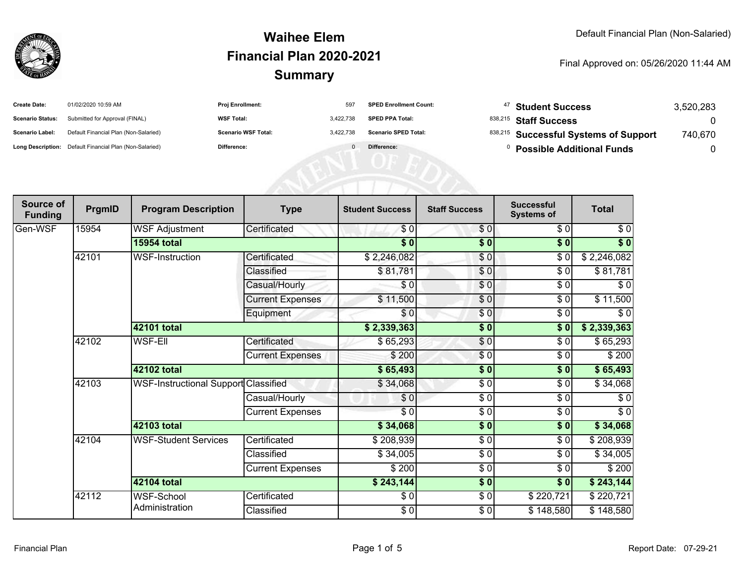

| <b>Create Date:</b>     | 01/02/2020 10:59 AM                                     | <b>Proj Enrollment:</b>    | 597       | <b>SPED Enrollment Count:</b> | <sup>47</sup> Student Success         | 3,520,283 |
|-------------------------|---------------------------------------------------------|----------------------------|-----------|-------------------------------|---------------------------------------|-----------|
| <b>Scenario Status:</b> | Submitted for Approval (FINAL)                          | <b>WSF Total:</b>          | 3.422.738 | <b>SPED PPA Total:</b>        | <sup>838,215</sup> Staff Success      |           |
| <b>Scenario Label:</b>  | Default Financial Plan (Non-Salaried)                   | <b>Scenario WSF Total:</b> | 3.422.738 | <b>Scenario SPED Total:</b>   | 838,215 Successful Systems of Support | 740,670   |
|                         | Long Description: Default Financial Plan (Non-Salaried) | Difference:                |           | Difference:                   | <b>Possible Additional Funds</b>      |           |

| Source of<br><b>Funding</b> | PrgmID | <b>Program Description</b>           | <b>Type</b>             | <b>Student Success</b>   | <b>Staff Success</b> | <b>Successful</b><br><b>Systems of</b> | <b>Total</b>     |
|-----------------------------|--------|--------------------------------------|-------------------------|--------------------------|----------------------|----------------------------------------|------------------|
| Gen-WSF                     | 15954  | <b>WSF Adjustment</b>                | Certificated            | \$0                      | \$0                  | \$0                                    | \$0              |
|                             |        | <b>15954 total</b>                   |                         | $\overline{\$0}$         | \$0                  | \$0                                    | $\sqrt[6]{}$     |
|                             | 42101  | <b>WSF-Instruction</b>               | Certificated            | \$2,246,082              | \$0                  | \$0                                    | \$2,246,082      |
|                             |        |                                      | Classified              | \$81,781                 | \$0                  | $\sqrt{6}$                             | \$81,781         |
|                             |        |                                      | Casual/Hourly           | $\sqrt{6}$               | \$0                  | $\frac{6}{6}$                          | $\overline{\$0}$ |
|                             |        |                                      | <b>Current Expenses</b> | \$11,500                 | $\frac{6}{6}$        | \$0                                    | \$11,500         |
|                             |        |                                      | Equipment               | \$0                      | \$0                  | \$0                                    | \$0              |
|                             |        | 42101 total                          |                         | \$2,339,363              | $\sqrt{6}$           | \$0                                    | \$2,339,363      |
|                             | 42102  | <b>WSF-Ell</b>                       | Certificated            | \$65,293                 | $\frac{6}{3}$        | \$0                                    | \$65,293         |
|                             |        |                                      | <b>Current Expenses</b> | \$200                    | $\frac{6}{3}$        | \$0                                    | \$200            |
|                             |        | 42102 total                          |                         | \$65,493                 | \$0                  | \$0                                    | \$65,493         |
|                             | 42103  | WSF-Instructional Support Classified |                         | \$34,068                 | \$0                  | \$0                                    | \$34,068         |
|                             |        |                                      | Casual/Hourly           | \$0                      | $\frac{3}{2}$        | \$0                                    | \$0              |
|                             |        |                                      | <b>Current Expenses</b> | $\overline{\frac{1}{2}}$ | $\frac{3}{2}$        | \$0                                    | $\sqrt{6}$       |
|                             |        | 42103 total                          |                         | \$34,068                 | $\frac{1}{2}$        | \$0                                    | \$34,068         |
|                             | 42104  | <b>WSF-Student Services</b>          | Certificated            | \$208,939                | $\frac{3}{2}$        | \$0                                    | \$208,939        |
|                             |        |                                      | Classified              | \$34,005                 | $\frac{6}{6}$        | $\sqrt{6}$                             | \$34,005         |
|                             |        |                                      | Current Expenses        | \$200                    | $\frac{3}{2}$        | \$0                                    | \$200            |
|                             |        | 42104 total                          |                         | \$243,144                | $\overline{\$0}$     | \$0                                    | \$243,144        |
|                             | 42112  | <b>WSF-School</b>                    | Certificated            | \$0                      | \$0                  | \$220,721                              | \$220,721        |
|                             |        | Administration                       | Classified              | $\frac{6}{6}$            | $\frac{6}{6}$        | \$148,580                              | \$148,580        |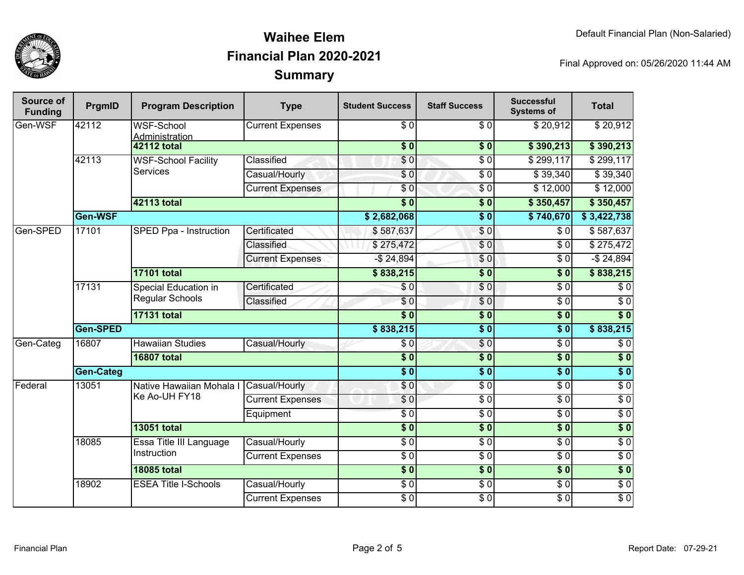

| Source of<br><b>Funding</b> | PrgmID             | <b>Program Description</b>                     | <b>Type</b>              | <b>Student Success</b> | <b>Staff Success</b> | <b>Successful</b><br><b>Systems of</b> | <b>Total</b>     |                  |
|-----------------------------|--------------------|------------------------------------------------|--------------------------|------------------------|----------------------|----------------------------------------|------------------|------------------|
| Gen-WSF                     | 42112              | <b>WSF-School</b><br>Administration            | <b>Current Expenses</b>  | $\sqrt{6}$             | $\sqrt{6}$           | \$20,912                               | \$20,912         |                  |
|                             |                    | <b>42112 total</b>                             |                          | $\overline{\$0}$       | $\overline{\$0}$     | \$390,213                              | \$390,213        |                  |
|                             | 42113              | <b>WSF-School Facility</b><br><b>Services</b>  | Classified               | \$0                    | $\overline{\$0}$     | \$299,117                              | \$299,117        |                  |
|                             |                    |                                                | Casual/Hourly            | $\overline{\$0}$       | $\overline{\$0}$     | $\sqrt{$}39,340$                       | \$39,340         |                  |
|                             |                    |                                                | <b>Current Expenses</b>  | $\overline{\$0}$       | $\overline{\$0}$     | \$12,000                               | \$12,000         |                  |
|                             |                    | 42113 total                                    |                          | $\overline{\$0}$       | $\sqrt{6}$           | \$350,457                              | \$350,457        |                  |
|                             | Gen-WSF            |                                                |                          | \$2,682,068            | $\overline{\$0}$     | \$740,670                              | \$3,422,738      |                  |
| Gen-SPED                    | 17101              | SPED Ppa - Instruction                         | Certificated             | \$587,637              | \$0                  | $\overline{\$0}$                       | \$587,637        |                  |
|                             |                    |                                                | Classified               | \$275,472              | $\overline{\$0}$     | $\overline{\$0}$                       | \$275,472        |                  |
|                             |                    | <b>Current Expenses</b>                        | $-$ \$ 24,894            | $\sqrt{0}$             | $\overline{\$0}$     | $-$ \$ 24,894                          |                  |                  |
|                             |                    | <b>17101 total</b>                             |                          | \$838,215              | $\overline{\$}0$     | $\overline{\$}0$                       | \$838,215        |                  |
|                             | 17131              | <b>Special Education in</b><br>Regular Schools | Certificated             | \$0                    | \$0                  | $\overline{\$0}$                       | \$0              |                  |
|                             |                    |                                                | Classified               | $\overline{\$0}$       | $\overline{\$0}$     | $\overline{\$0}$                       | $\overline{\$0}$ |                  |
|                             |                    | <b>17131 total</b>                             |                          | s <sub>0</sub>         | $\sqrt{6}$           | $\overline{\textbf{50}}$               | $\overline{\$0}$ |                  |
|                             | Gen-SPED           |                                                | \$838,215                | $\overline{\$0}$       | $\overline{\$0}$     | \$838,215                              |                  |                  |
| Gen-Categ                   | 16807              | <b>Hawaiian Studies</b>                        | Casual/Hourly            | \$0                    | \$0                  | $\overline{\$0}$                       | $\overline{\$0}$ |                  |
|                             | <b>16807 total</b> |                                                |                          | $\overline{\$0}$       | $\overline{\$0}$     | $\overline{\$0}$                       | $\overline{\$0}$ |                  |
|                             | Gen-Categ          |                                                |                          |                        | $\overline{\$0}$     | $\overline{\$0}$                       | $\overline{\$0}$ |                  |
| Federal                     | 13051              | Ke Ao-UH FY18                                  | Native Hawaiian Mohala I | Casual/Hourly          | \$0                  | $\overline{\$0}$                       | $\overline{\$0}$ | $\overline{\$0}$ |
|                             |                    |                                                | <b>Current Expenses</b>  | \$0                    | $\overline{\$0}$     | $\overline{\$0}$                       | $\overline{$}0$  |                  |
|                             |                    |                                                | Equipment                | $\overline{\$0}$       | $\overline{\$0}$     | $\overline{\$0}$                       | $\overline{\$0}$ |                  |
|                             |                    | <b>13051 total</b>                             |                          | $\overline{\$0}$       | $\overline{\$0}$     | $\overline{\$0}$                       | $\overline{\$0}$ |                  |
|                             | 18085              | Essa Title III Language<br>Instruction         | Casual/Hourly            | $\overline{\$0}$       | $\overline{\$0}$     | $\overline{\$0}$                       | $\overline{\$0}$ |                  |
|                             |                    |                                                | <b>Current Expenses</b>  | $\overline{\$0}$       | $\overline{\$0}$     | $\overline{\$0}$                       | $\overline{\$0}$ |                  |
|                             |                    | <b>18085 total</b>                             |                          |                        | $\overline{\$}0$     | $\overline{\$0}$                       | $\overline{\$0}$ |                  |
|                             | 18902              | <b>ESEA Title I-Schools</b>                    | Casual/Hourly            | $\overline{\$0}$       | $\overline{$}0$      | $\overline{\$0}$                       | $\overline{$}0$  |                  |
|                             |                    |                                                | <b>Current Expenses</b>  | $\overline{\$0}$       | $\overline{\$0}$     | $\overline{$}0$                        | $\overline{\$0}$ |                  |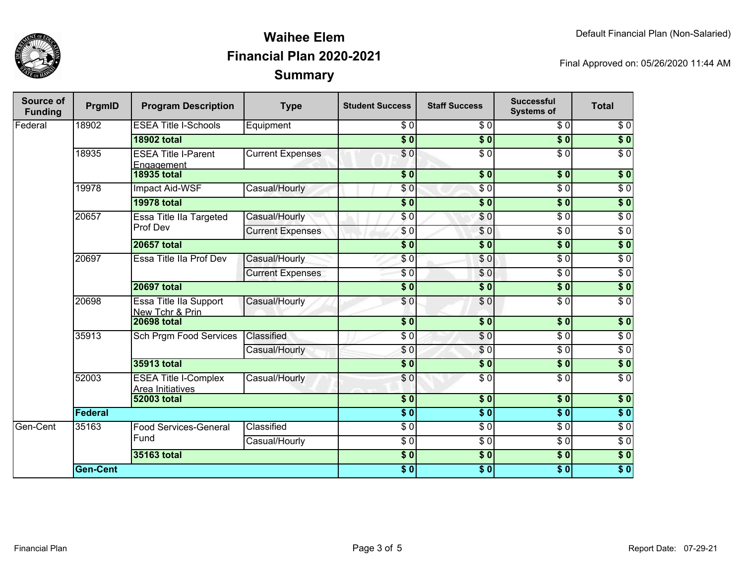

| Source of<br><b>Funding</b> | PrgmID          | <b>Program Description</b>                      | <b>Type</b>             | <b>Student Success</b> | <b>Staff Success</b> | <b>Successful</b><br><b>Systems of</b> | <b>Total</b>     |                  |
|-----------------------------|-----------------|-------------------------------------------------|-------------------------|------------------------|----------------------|----------------------------------------|------------------|------------------|
| Federal                     | 18902           | <b>ESEA Title I-Schools</b>                     | Equipment               | \$0                    | $\overline{\$0}$     | \$0                                    | $\sqrt{6}$       |                  |
|                             |                 | <b>18902 total</b>                              |                         | $\overline{\$0}$       | $\overline{\$0}$     | $\overline{\$0}$                       | $\overline{\$0}$ |                  |
|                             | 18935           | <b>ESEA Title I-Parent</b><br>Engagement        | <b>Current Expenses</b> | $\overline{\$0}$       | $\overline{\$0}$     | $\overline{\$0}$                       | $\overline{\$0}$ |                  |
|                             |                 | <b>18935 total</b>                              |                         | $\overline{\$0}$       | $\overline{\$0}$     | $\overline{\$0}$                       | $\overline{\$0}$ |                  |
|                             | 19978           | Impact Aid-WSF                                  | Casual/Hourly           | \$0                    | $\overline{\$0}$     | $\overline{\$0}$                       | $\overline{\$0}$ |                  |
|                             |                 | <b>19978 total</b>                              |                         | $\overline{\$0}$       | $\sqrt{6}$           | $\overline{\$0}$                       | $\overline{\$0}$ |                  |
|                             | 20657           | Essa Title IIa Targeted                         | Casual/Hourly           | \$0                    | \$0                  | $\overline{\$0}$                       | $\overline{\$0}$ |                  |
|                             |                 | Prof Dev                                        | <b>Current Expenses</b> | \$0                    | \$0                  | $\overline{\$0}$                       | $\overline{\$0}$ |                  |
|                             |                 | <b>20657 total</b>                              |                         | $\overline{\$}0$       | $\overline{\$0}$     | $\overline{\$0}$                       | $\overline{\$0}$ |                  |
|                             | 20697           | Essa Title IIa Prof Dev                         | Casual/Hourly           | \$0                    | $\overline{\$0}$     | $\overline{\$0}$                       | $\overline{\$0}$ |                  |
|                             |                 |                                                 | <b>Current Expenses</b> | $\overline{\$0}$       | $\sqrt{6}$           | $\overline{\$0}$                       | $\overline{\$0}$ |                  |
|                             |                 | <b>20697 total</b>                              |                         | $\overline{\$}0$       | $\overline{\$0}$     | $\overline{\$0}$                       | $\sqrt{6}$       |                  |
|                             | 20698           | Essa Title IIa Support<br>New Tchr & Prin       | Casual/Hourly           | \$0                    | $\overline{\$0}$     | $\overline{\$0}$                       | $\overline{\$0}$ |                  |
|                             |                 | <b>20698 total</b>                              |                         | $\sqrt{6}$             | $\overline{\bullet}$ | $\overline{\$0}$                       | $\overline{\$0}$ |                  |
|                             |                 | 35913                                           | Sch Prgm Food Services  | Classified             | $\sqrt{6}$           | \$0                                    | $\sqrt{6}$       | $\sqrt{6}$       |
|                             |                 |                                                 | Casual/Hourly           | \$0                    | \$0                  | $\sqrt{6}$                             | $\sqrt{6}$       |                  |
|                             |                 | <b>35913 total</b>                              |                         | $\overline{\$0}$       | $\overline{\$0}$     | $\overline{\$0}$                       | $\overline{\$0}$ |                  |
|                             | 52003           | <b>ESEA Title I-Complex</b><br>Area Initiatives | Casual/Hourly           | \$0                    | $\sqrt{6}$           | $\overline{\$0}$                       | $\sqrt{6}$       |                  |
|                             |                 | <b>52003 total</b>                              |                         | $\overline{\$0}$       | $\overline{\$0}$     | $\overline{\$0}$                       | $\overline{\$0}$ |                  |
|                             | <b>Federal</b>  |                                                 |                         | $\overline{\$0}$       | $\overline{\$0}$     | $\overline{\$0}$                       | $\overline{\$0}$ |                  |
| Gen-Cent                    | 35163           | Food Services-General<br>Fund                   |                         | Classified             | $\overline{\$0}$     | $\overline{\$0}$                       | $\overline{30}$  | $\overline{\$0}$ |
|                             |                 |                                                 | Casual/Hourly           | $\overline{30}$        | $\overline{S}0$      | $\overline{30}$                        | $\overline{50}$  |                  |
|                             |                 | <b>35163 total</b>                              |                         | $\overline{\$0}$       | $\overline{\$0}$     | $\overline{\$0}$                       | $\overline{\$0}$ |                  |
|                             | <b>Gen-Cent</b> |                                                 |                         | $\overline{\$0}$       | $\overline{\$0}$     | $\overline{\$0}$                       | $\overline{\$0}$ |                  |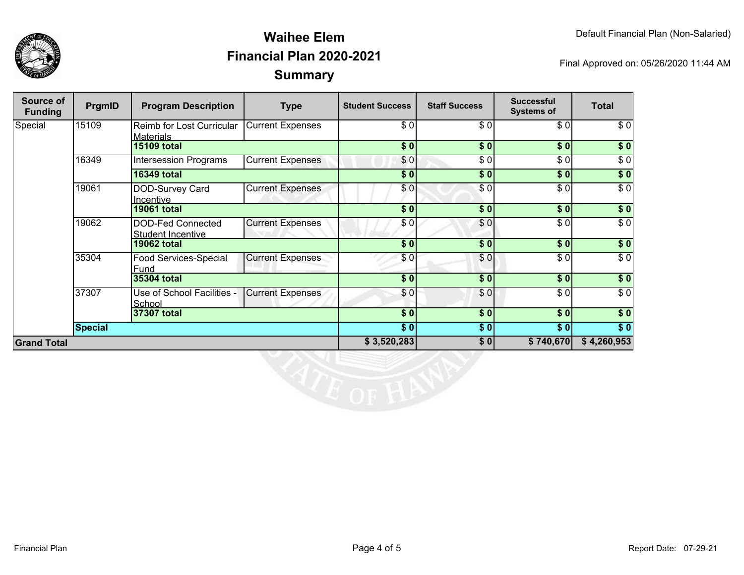



| Source of<br><b>Funding</b> | PrgmID         | <b>Program Description</b>                    | <b>Type</b>             | <b>Student Success</b> | <b>Staff Success</b> | <b>Successful</b><br><b>Systems of</b> | <b>Total</b>     |
|-----------------------------|----------------|-----------------------------------------------|-------------------------|------------------------|----------------------|----------------------------------------|------------------|
| Special                     | 15109          | Reimb for Lost Curricular<br><b>Materials</b> | <b>Current Expenses</b> | \$0                    | \$0                  | \$0                                    | \$0              |
|                             |                | <b>15109 total</b>                            |                         | \$0                    | \$0                  | \$0                                    | \$0              |
|                             | 16349          | <b>Intersession Programs</b>                  | <b>Current Expenses</b> | \$0                    | \$0                  | \$0                                    | $\overline{\$0}$ |
|                             |                | <b>16349 total</b>                            |                         | \$0]                   | \$0                  | \$0                                    | \$0              |
|                             | 19061          | DOD-Survey Card<br>Incentive                  | <b>Current Expenses</b> | \$0                    | \$0                  | \$0                                    | $\overline{\$0}$ |
|                             |                | <b>19061 total</b>                            |                         | \$0                    | \$0                  | \$0                                    | \$0              |
|                             | 19062          | DOD-Fed Connected<br>Student Incentive        | <b>Current Expenses</b> | \$0                    | \$0                  | \$0                                    | $\sqrt{6}$       |
|                             |                | <b>19062 total</b>                            |                         | $\overline{\$0}$       | $\overline{\$0}$     | \$0                                    | $\overline{\$}0$ |
|                             | 35304          | Food Services-Special<br>Fund                 | <b>Current Expenses</b> | \$0                    | \$0                  | \$0                                    | $\overline{\$0}$ |
|                             |                | 35304 total                                   |                         | \$0                    | \$0                  | \$0                                    | \$0              |
|                             | 37307          | Use of School Facilities -<br>School          | <b>Current Expenses</b> | \$0                    | \$0                  | \$0                                    | $\overline{\$0}$ |
|                             |                | 37307 total                                   |                         | \$0]                   | \$0                  | \$0                                    | $\sqrt{6}$       |
|                             | <b>Special</b> |                                               |                         | \$0]                   | \$0                  | \$0                                    | $\sqrt{6}$       |
| <b>Grand Total</b>          |                |                                               | \$3,520,283             | \$0                    | \$740,670            | \$4,260,953                            |                  |